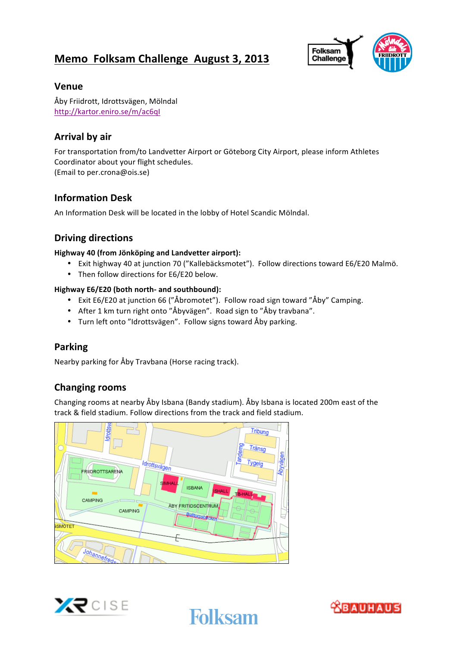# **Memo Folksam Challenge August 3, 2013**



#### **Venue**

Åby Friidrott, Idrottsvägen, Mölndal http://kartor.eniro.se/m/ac6qI

### **Arrival by air**

For transportation from/to Landvetter Airport or Göteborg City Airport, please inform Athletes Coordinator about your flight schedules. (Email to per.crona@ois.se)

### **Information Desk**

An Information Desk will be located in the lobby of Hotel Scandic Mölndal.

#### **Driving directions**

#### **Highway 40 (from Jönköping and Landvetter airport):**

- Exit highway 40 at junction 70 ("Kallebäcksmotet"). Follow directions toward E6/E20 Malmö.
- Then follow directions for E6/E20 below.

#### **Highway E6/E20 (both north- and southbound):**

- Exit E6/E20 at junction 66 ("Åbromotet"). Follow road sign toward "Åby" Camping.
- After 1 km turn right onto "Åbyvägen". Road sign to "Åby travbana".
- Turn left onto "Idrottsvägen". Follow signs toward Åby parking.

#### **Parking**

Nearby parking for Åby Travbana (Horse racing track).

#### **Changing rooms**

Changing rooms at nearby Åby Isbana (Bandy stadium). Åby Isbana is located 200m east of the track & field stadium. Follow directions from the track and field stadium.



 



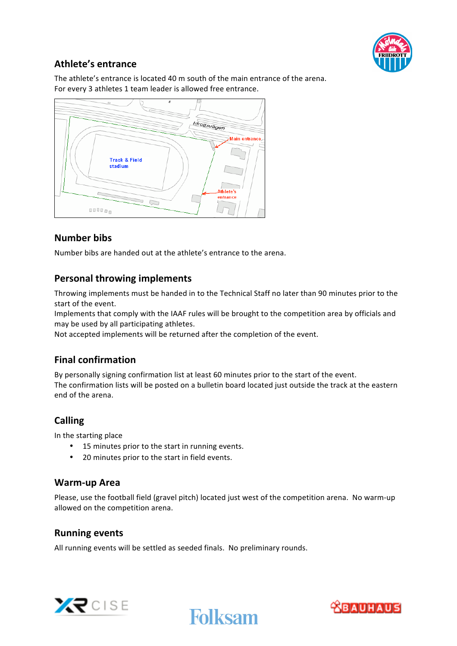

# **Athlete's entrance**

The athlete's entrance is located 40 m south of the main entrance of the arena. For every 3 athletes 1 team leader is allowed free entrance.



# **Number bibs**

Number bibs are handed out at the athlete's entrance to the arena.

### **Personal throwing implements**

Throwing implements must be handed in to the Technical Staff no later than 90 minutes prior to the start of the event.

Implements that comply with the IAAF rules will be brought to the competition area by officials and may be used by all participating athletes.

Not accepted implements will be returned after the completion of the event.

#### **Final confirmation**

By personally signing confirmation list at least 60 minutes prior to the start of the event. The confirmation lists will be posted on a bulletin board located just outside the track at the eastern end of the arena.

#### **Calling**

In the starting place

- 15 minutes prior to the start in running events.
- 20 minutes prior to the start in field events.

#### **Warm-up Area**

Please, use the football field (gravel pitch) located just west of the competition arena. No warm-up allowed on the competition arena.

#### **Running events**

All running events will be settled as seeded finals. No preliminary rounds.